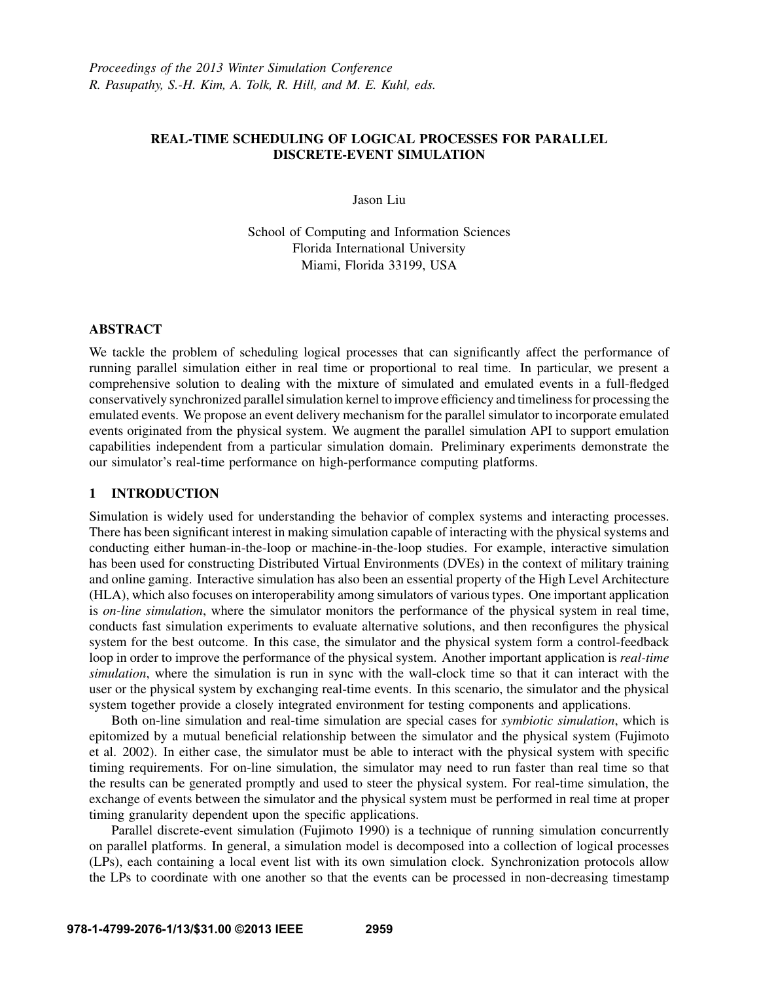# REAL-TIME SCHEDULING OF LOGICAL PROCESSES FOR PARALLEL DISCRETE-EVENT SIMULATION

Jason Liu

School of Computing and Information Sciences Florida International University Miami, Florida 33199, USA

### ABSTRACT

We tackle the problem of scheduling logical processes that can significantly affect the performance of running parallel simulation either in real time or proportional to real time. In particular, we present a comprehensive solution to dealing with the mixture of simulated and emulated events in a full-fledged conservatively synchronized parallel simulation kernel to improve efficiency and timeliness for processing the emulated events. We propose an event delivery mechanism for the parallel simulator to incorporate emulated events originated from the physical system. We augment the parallel simulation API to support emulation capabilities independent from a particular simulation domain. Preliminary experiments demonstrate the our simulator's real-time performance on high-performance computing platforms.

# 1 INTRODUCTION

Simulation is widely used for understanding the behavior of complex systems and interacting processes. There has been significant interest in making simulation capable of interacting with the physical systems and conducting either human-in-the-loop or machine-in-the-loop studies. For example, interactive simulation has been used for constructing Distributed Virtual Environments (DVEs) in the context of military training and online gaming. Interactive simulation has also been an essential property of the High Level Architecture (HLA), which also focuses on interoperability among simulators of various types. One important application is *on-line simulation*, where the simulator monitors the performance of the physical system in real time, conducts fast simulation experiments to evaluate alternative solutions, and then reconfigures the physical system for the best outcome. In this case, the simulator and the physical system form a control-feedback loop in order to improve the performance of the physical system. Another important application is *real-time simulation*, where the simulation is run in sync with the wall-clock time so that it can interact with the user or the physical system by exchanging real-time events. In this scenario, the simulator and the physical system together provide a closely integrated environment for testing components and applications.

Both on-line simulation and real-time simulation are special cases for *symbiotic simulation*, which is epitomized by a mutual beneficial relationship between the simulator and the physical system (Fujimoto et al. 2002). In either case, the simulator must be able to interact with the physical system with specific timing requirements. For on-line simulation, the simulator may need to run faster than real time so that the results can be generated promptly and used to steer the physical system. For real-time simulation, the exchange of events between the simulator and the physical system must be performed in real time at proper timing granularity dependent upon the specific applications.

Parallel discrete-event simulation (Fujimoto 1990) is a technique of running simulation concurrently on parallel platforms. In general, a simulation model is decomposed into a collection of logical processes (LPs), each containing a local event list with its own simulation clock. Synchronization protocols allow the LPs to coordinate with one another so that the events can be processed in non-decreasing timestamp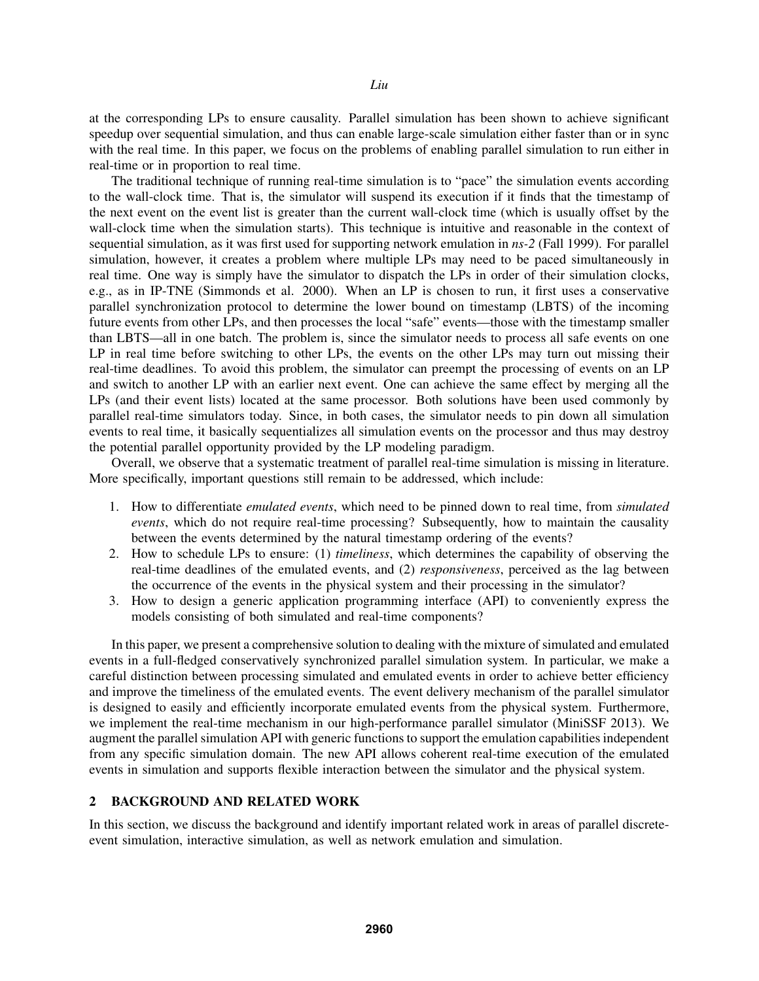at the corresponding LPs to ensure causality. Parallel simulation has been shown to achieve significant speedup over sequential simulation, and thus can enable large-scale simulation either faster than or in sync with the real time. In this paper, we focus on the problems of enabling parallel simulation to run either in real-time or in proportion to real time.

The traditional technique of running real-time simulation is to "pace" the simulation events according to the wall-clock time. That is, the simulator will suspend its execution if it finds that the timestamp of the next event on the event list is greater than the current wall-clock time (which is usually offset by the wall-clock time when the simulation starts). This technique is intuitive and reasonable in the context of sequential simulation, as it was first used for supporting network emulation in *ns-2* (Fall 1999). For parallel simulation, however, it creates a problem where multiple LPs may need to be paced simultaneously in real time. One way is simply have the simulator to dispatch the LPs in order of their simulation clocks, e.g., as in IP-TNE (Simmonds et al. 2000). When an LP is chosen to run, it first uses a conservative parallel synchronization protocol to determine the lower bound on timestamp (LBTS) of the incoming future events from other LPs, and then processes the local "safe" events—those with the timestamp smaller than LBTS—all in one batch. The problem is, since the simulator needs to process all safe events on one LP in real time before switching to other LPs, the events on the other LPs may turn out missing their real-time deadlines. To avoid this problem, the simulator can preempt the processing of events on an LP and switch to another LP with an earlier next event. One can achieve the same effect by merging all the LPs (and their event lists) located at the same processor. Both solutions have been used commonly by parallel real-time simulators today. Since, in both cases, the simulator needs to pin down all simulation events to real time, it basically sequentializes all simulation events on the processor and thus may destroy the potential parallel opportunity provided by the LP modeling paradigm.

Overall, we observe that a systematic treatment of parallel real-time simulation is missing in literature. More specifically, important questions still remain to be addressed, which include:

- 1. How to differentiate *emulated events*, which need to be pinned down to real time, from *simulated events*, which do not require real-time processing? Subsequently, how to maintain the causality between the events determined by the natural timestamp ordering of the events?
- 2. How to schedule LPs to ensure: (1) *timeliness*, which determines the capability of observing the real-time deadlines of the emulated events, and (2) *responsiveness*, perceived as the lag between the occurrence of the events in the physical system and their processing in the simulator?
- 3. How to design a generic application programming interface (API) to conveniently express the models consisting of both simulated and real-time components?

In this paper, we present a comprehensive solution to dealing with the mixture of simulated and emulated events in a full-fledged conservatively synchronized parallel simulation system. In particular, we make a careful distinction between processing simulated and emulated events in order to achieve better efficiency and improve the timeliness of the emulated events. The event delivery mechanism of the parallel simulator is designed to easily and efficiently incorporate emulated events from the physical system. Furthermore, we implement the real-time mechanism in our high-performance parallel simulator (MiniSSF 2013). We augment the parallel simulation API with generic functions to support the emulation capabilities independent from any specific simulation domain. The new API allows coherent real-time execution of the emulated events in simulation and supports flexible interaction between the simulator and the physical system.

## 2 BACKGROUND AND RELATED WORK

In this section, we discuss the background and identify important related work in areas of parallel discreteevent simulation, interactive simulation, as well as network emulation and simulation.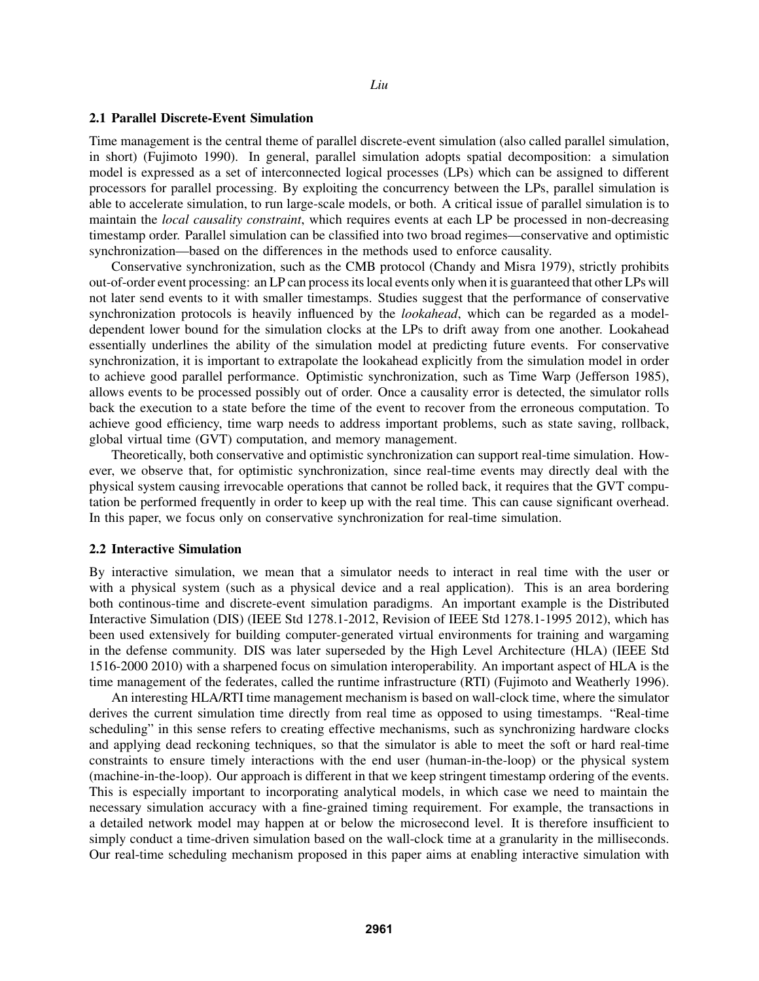#### 2.1 Parallel Discrete-Event Simulation

Time management is the central theme of parallel discrete-event simulation (also called parallel simulation, in short) (Fujimoto 1990). In general, parallel simulation adopts spatial decomposition: a simulation model is expressed as a set of interconnected logical processes (LPs) which can be assigned to different processors for parallel processing. By exploiting the concurrency between the LPs, parallel simulation is able to accelerate simulation, to run large-scale models, or both. A critical issue of parallel simulation is to maintain the *local causality constraint*, which requires events at each LP be processed in non-decreasing timestamp order. Parallel simulation can be classified into two broad regimes—conservative and optimistic synchronization—based on the differences in the methods used to enforce causality.

Conservative synchronization, such as the CMB protocol (Chandy and Misra 1979), strictly prohibits out-of-order event processing: an LP can process its local events only when it is guaranteed that other LPs will not later send events to it with smaller timestamps. Studies suggest that the performance of conservative synchronization protocols is heavily influenced by the *lookahead*, which can be regarded as a modeldependent lower bound for the simulation clocks at the LPs to drift away from one another. Lookahead essentially underlines the ability of the simulation model at predicting future events. For conservative synchronization, it is important to extrapolate the lookahead explicitly from the simulation model in order to achieve good parallel performance. Optimistic synchronization, such as Time Warp (Jefferson 1985), allows events to be processed possibly out of order. Once a causality error is detected, the simulator rolls back the execution to a state before the time of the event to recover from the erroneous computation. To achieve good efficiency, time warp needs to address important problems, such as state saving, rollback, global virtual time (GVT) computation, and memory management.

Theoretically, both conservative and optimistic synchronization can support real-time simulation. However, we observe that, for optimistic synchronization, since real-time events may directly deal with the physical system causing irrevocable operations that cannot be rolled back, it requires that the GVT computation be performed frequently in order to keep up with the real time. This can cause significant overhead. In this paper, we focus only on conservative synchronization for real-time simulation.

### 2.2 Interactive Simulation

By interactive simulation, we mean that a simulator needs to interact in real time with the user or with a physical system (such as a physical device and a real application). This is an area bordering both continous-time and discrete-event simulation paradigms. An important example is the Distributed Interactive Simulation (DIS) (IEEE Std 1278.1-2012, Revision of IEEE Std 1278.1-1995 2012), which has been used extensively for building computer-generated virtual environments for training and wargaming in the defense community. DIS was later superseded by the High Level Architecture (HLA) (IEEE Std 1516-2000 2010) with a sharpened focus on simulation interoperability. An important aspect of HLA is the time management of the federates, called the runtime infrastructure (RTI) (Fujimoto and Weatherly 1996).

An interesting HLA/RTI time management mechanism is based on wall-clock time, where the simulator derives the current simulation time directly from real time as opposed to using timestamps. "Real-time scheduling" in this sense refers to creating effective mechanisms, such as synchronizing hardware clocks and applying dead reckoning techniques, so that the simulator is able to meet the soft or hard real-time constraints to ensure timely interactions with the end user (human-in-the-loop) or the physical system (machine-in-the-loop). Our approach is different in that we keep stringent timestamp ordering of the events. This is especially important to incorporating analytical models, in which case we need to maintain the necessary simulation accuracy with a fine-grained timing requirement. For example, the transactions in a detailed network model may happen at or below the microsecond level. It is therefore insufficient to simply conduct a time-driven simulation based on the wall-clock time at a granularity in the milliseconds. Our real-time scheduling mechanism proposed in this paper aims at enabling interactive simulation with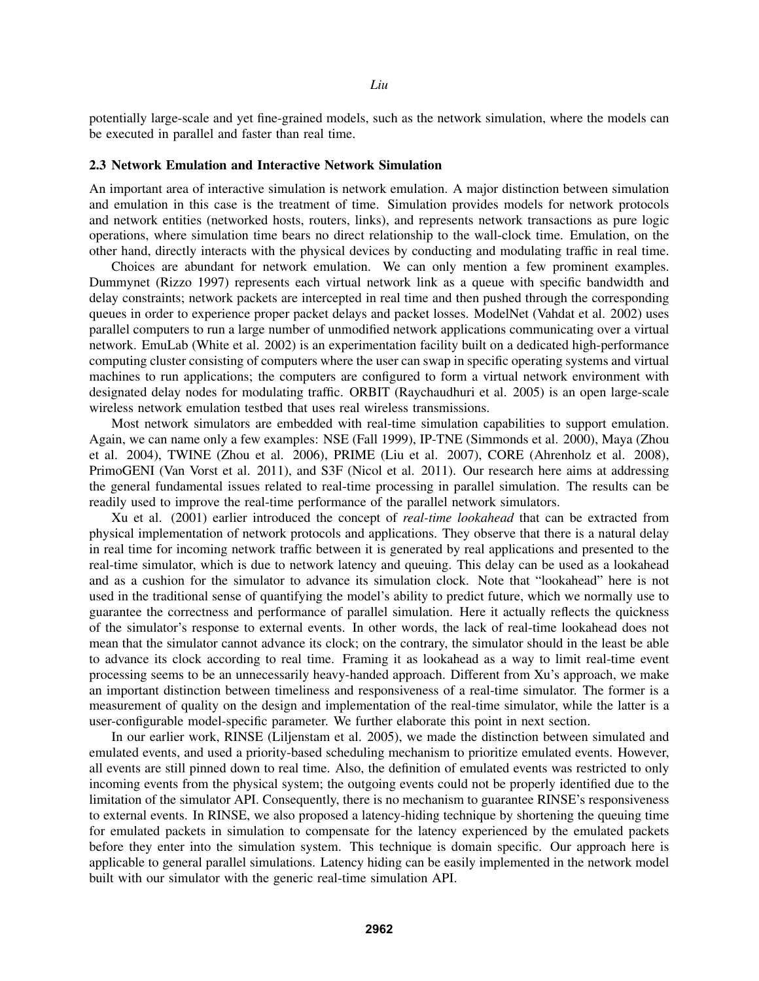potentially large-scale and yet fine-grained models, such as the network simulation, where the models can be executed in parallel and faster than real time.

#### 2.3 Network Emulation and Interactive Network Simulation

An important area of interactive simulation is network emulation. A major distinction between simulation and emulation in this case is the treatment of time. Simulation provides models for network protocols and network entities (networked hosts, routers, links), and represents network transactions as pure logic operations, where simulation time bears no direct relationship to the wall-clock time. Emulation, on the other hand, directly interacts with the physical devices by conducting and modulating traffic in real time.

Choices are abundant for network emulation. We can only mention a few prominent examples. Dummynet (Rizzo 1997) represents each virtual network link as a queue with specific bandwidth and delay constraints; network packets are intercepted in real time and then pushed through the corresponding queues in order to experience proper packet delays and packet losses. ModelNet (Vahdat et al. 2002) uses parallel computers to run a large number of unmodified network applications communicating over a virtual network. EmuLab (White et al. 2002) is an experimentation facility built on a dedicated high-performance computing cluster consisting of computers where the user can swap in specific operating systems and virtual machines to run applications; the computers are configured to form a virtual network environment with designated delay nodes for modulating traffic. ORBIT (Raychaudhuri et al. 2005) is an open large-scale wireless network emulation testbed that uses real wireless transmissions.

Most network simulators are embedded with real-time simulation capabilities to support emulation. Again, we can name only a few examples: NSE (Fall 1999), IP-TNE (Simmonds et al. 2000), Maya (Zhou et al. 2004), TWINE (Zhou et al. 2006), PRIME (Liu et al. 2007), CORE (Ahrenholz et al. 2008), PrimoGENI (Van Vorst et al. 2011), and S3F (Nicol et al. 2011). Our research here aims at addressing the general fundamental issues related to real-time processing in parallel simulation. The results can be readily used to improve the real-time performance of the parallel network simulators.

Xu et al. (2001) earlier introduced the concept of *real-time lookahead* that can be extracted from physical implementation of network protocols and applications. They observe that there is a natural delay in real time for incoming network traffic between it is generated by real applications and presented to the real-time simulator, which is due to network latency and queuing. This delay can be used as a lookahead and as a cushion for the simulator to advance its simulation clock. Note that "lookahead" here is not used in the traditional sense of quantifying the model's ability to predict future, which we normally use to guarantee the correctness and performance of parallel simulation. Here it actually reflects the quickness of the simulator's response to external events. In other words, the lack of real-time lookahead does not mean that the simulator cannot advance its clock; on the contrary, the simulator should in the least be able to advance its clock according to real time. Framing it as lookahead as a way to limit real-time event processing seems to be an unnecessarily heavy-handed approach. Different from Xu's approach, we make an important distinction between timeliness and responsiveness of a real-time simulator. The former is a measurement of quality on the design and implementation of the real-time simulator, while the latter is a user-configurable model-specific parameter. We further elaborate this point in next section.

In our earlier work, RINSE (Liljenstam et al. 2005), we made the distinction between simulated and emulated events, and used a priority-based scheduling mechanism to prioritize emulated events. However, all events are still pinned down to real time. Also, the definition of emulated events was restricted to only incoming events from the physical system; the outgoing events could not be properly identified due to the limitation of the simulator API. Consequently, there is no mechanism to guarantee RINSE's responsiveness to external events. In RINSE, we also proposed a latency-hiding technique by shortening the queuing time for emulated packets in simulation to compensate for the latency experienced by the emulated packets before they enter into the simulation system. This technique is domain specific. Our approach here is applicable to general parallel simulations. Latency hiding can be easily implemented in the network model built with our simulator with the generic real-time simulation API.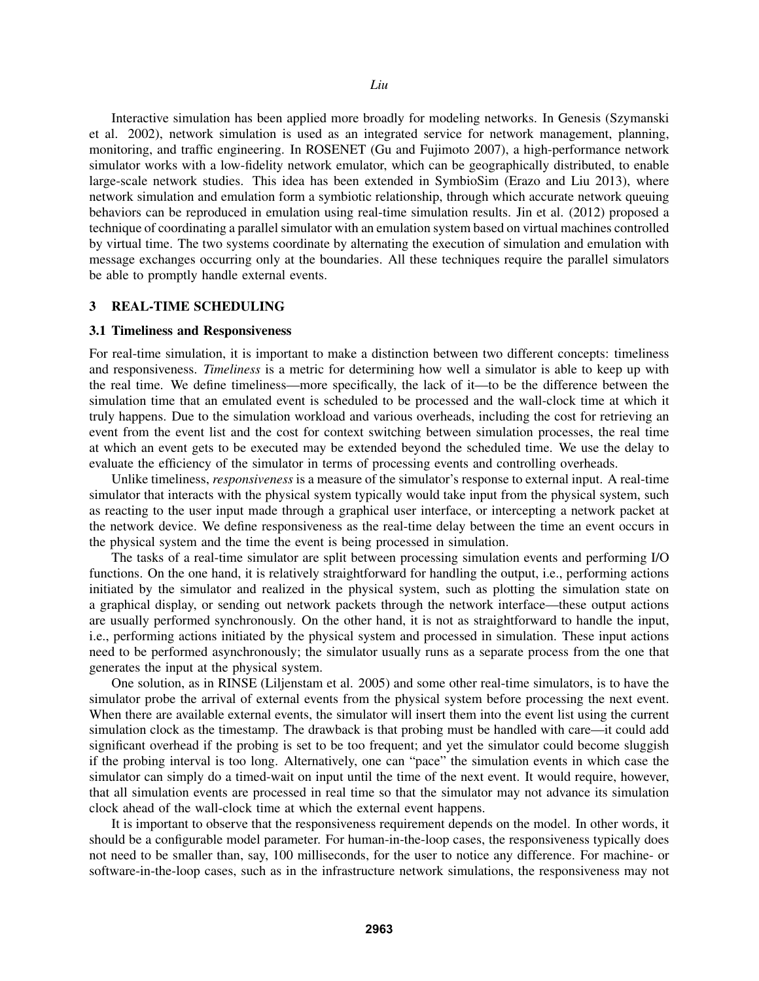Interactive simulation has been applied more broadly for modeling networks. In Genesis (Szymanski et al. 2002), network simulation is used as an integrated service for network management, planning, monitoring, and traffic engineering. In ROSENET (Gu and Fujimoto 2007), a high-performance network simulator works with a low-fidelity network emulator, which can be geographically distributed, to enable large-scale network studies. This idea has been extended in SymbioSim (Erazo and Liu 2013), where network simulation and emulation form a symbiotic relationship, through which accurate network queuing behaviors can be reproduced in emulation using real-time simulation results. Jin et al. (2012) proposed a technique of coordinating a parallel simulator with an emulation system based on virtual machines controlled by virtual time. The two systems coordinate by alternating the execution of simulation and emulation with message exchanges occurring only at the boundaries. All these techniques require the parallel simulators be able to promptly handle external events.

### 3 REAL-TIME SCHEDULING

### 3.1 Timeliness and Responsiveness

For real-time simulation, it is important to make a distinction between two different concepts: timeliness and responsiveness. *Timeliness* is a metric for determining how well a simulator is able to keep up with the real time. We define timeliness—more specifically, the lack of it—to be the difference between the simulation time that an emulated event is scheduled to be processed and the wall-clock time at which it truly happens. Due to the simulation workload and various overheads, including the cost for retrieving an event from the event list and the cost for context switching between simulation processes, the real time at which an event gets to be executed may be extended beyond the scheduled time. We use the delay to evaluate the efficiency of the simulator in terms of processing events and controlling overheads.

Unlike timeliness, *responsiveness* is a measure of the simulator's response to external input. A real-time simulator that interacts with the physical system typically would take input from the physical system, such as reacting to the user input made through a graphical user interface, or intercepting a network packet at the network device. We define responsiveness as the real-time delay between the time an event occurs in the physical system and the time the event is being processed in simulation.

The tasks of a real-time simulator are split between processing simulation events and performing I/O functions. On the one hand, it is relatively straightforward for handling the output, i.e., performing actions initiated by the simulator and realized in the physical system, such as plotting the simulation state on a graphical display, or sending out network packets through the network interface—these output actions are usually performed synchronously. On the other hand, it is not as straightforward to handle the input, i.e., performing actions initiated by the physical system and processed in simulation. These input actions need to be performed asynchronously; the simulator usually runs as a separate process from the one that generates the input at the physical system.

One solution, as in RINSE (Liljenstam et al. 2005) and some other real-time simulators, is to have the simulator probe the arrival of external events from the physical system before processing the next event. When there are available external events, the simulator will insert them into the event list using the current simulation clock as the timestamp. The drawback is that probing must be handled with care—it could add significant overhead if the probing is set to be too frequent; and yet the simulator could become sluggish if the probing interval is too long. Alternatively, one can "pace" the simulation events in which case the simulator can simply do a timed-wait on input until the time of the next event. It would require, however, that all simulation events are processed in real time so that the simulator may not advance its simulation clock ahead of the wall-clock time at which the external event happens.

It is important to observe that the responsiveness requirement depends on the model. In other words, it should be a configurable model parameter. For human-in-the-loop cases, the responsiveness typically does not need to be smaller than, say, 100 milliseconds, for the user to notice any difference. For machine- or software-in-the-loop cases, such as in the infrastructure network simulations, the responsiveness may not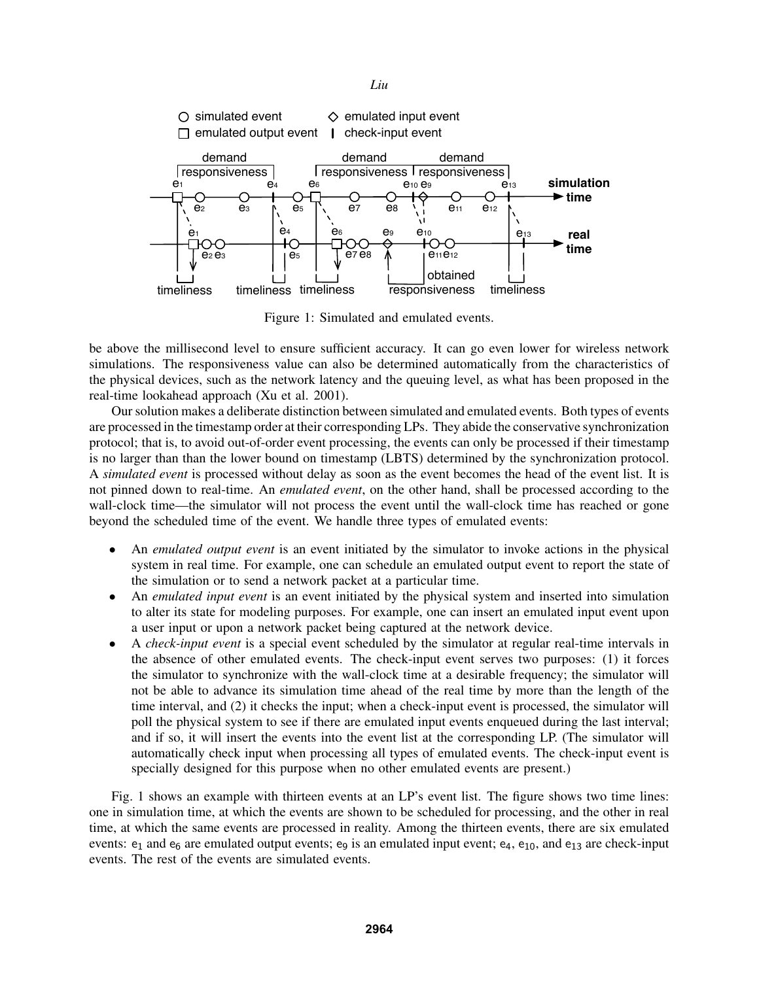

Figure 1: Simulated and emulated events.

be above the millisecond level to ensure sufficient accuracy. It can go even lower for wireless network simulations. The responsiveness value can also be determined automatically from the characteristics of the physical devices, such as the network latency and the queuing level, as what has been proposed in the real-time lookahead approach (Xu et al. 2001).

Our solution makes a deliberate distinction between simulated and emulated events. Both types of events are processed in the timestamp order at their corresponding LPs. They abide the conservative synchronization protocol; that is, to avoid out-of-order event processing, the events can only be processed if their timestamp is no larger than than the lower bound on timestamp (LBTS) determined by the synchronization protocol. A *simulated event* is processed without delay as soon as the event becomes the head of the event list. It is not pinned down to real-time. An *emulated event*, on the other hand, shall be processed according to the wall-clock time—the simulator will not process the event until the wall-clock time has reached or gone beyond the scheduled time of the event. We handle three types of emulated events:

- An *emulated output event* is an event initiated by the simulator to invoke actions in the physical system in real time. For example, one can schedule an emulated output event to report the state of the simulation or to send a network packet at a particular time.
- An *emulated input event* is an event initiated by the physical system and inserted into simulation to alter its state for modeling purposes. For example, one can insert an emulated input event upon a user input or upon a network packet being captured at the network device.
- A *check-input event* is a special event scheduled by the simulator at regular real-time intervals in the absence of other emulated events. The check-input event serves two purposes: (1) it forces the simulator to synchronize with the wall-clock time at a desirable frequency; the simulator will not be able to advance its simulation time ahead of the real time by more than the length of the time interval, and (2) it checks the input; when a check-input event is processed, the simulator will poll the physical system to see if there are emulated input events enqueued during the last interval; and if so, it will insert the events into the event list at the corresponding LP. (The simulator will automatically check input when processing all types of emulated events. The check-input event is specially designed for this purpose when no other emulated events are present.)

Fig. 1 shows an example with thirteen events at an LP's event list. The figure shows two time lines: one in simulation time, at which the events are shown to be scheduled for processing, and the other in real time, at which the same events are processed in reality. Among the thirteen events, there are six emulated events:  $e_1$  and  $e_6$  are emulated output events;  $e_9$  is an emulated input event;  $e_4$ ,  $e_{10}$ , and  $e_{13}$  are check-input events. The rest of the events are simulated events.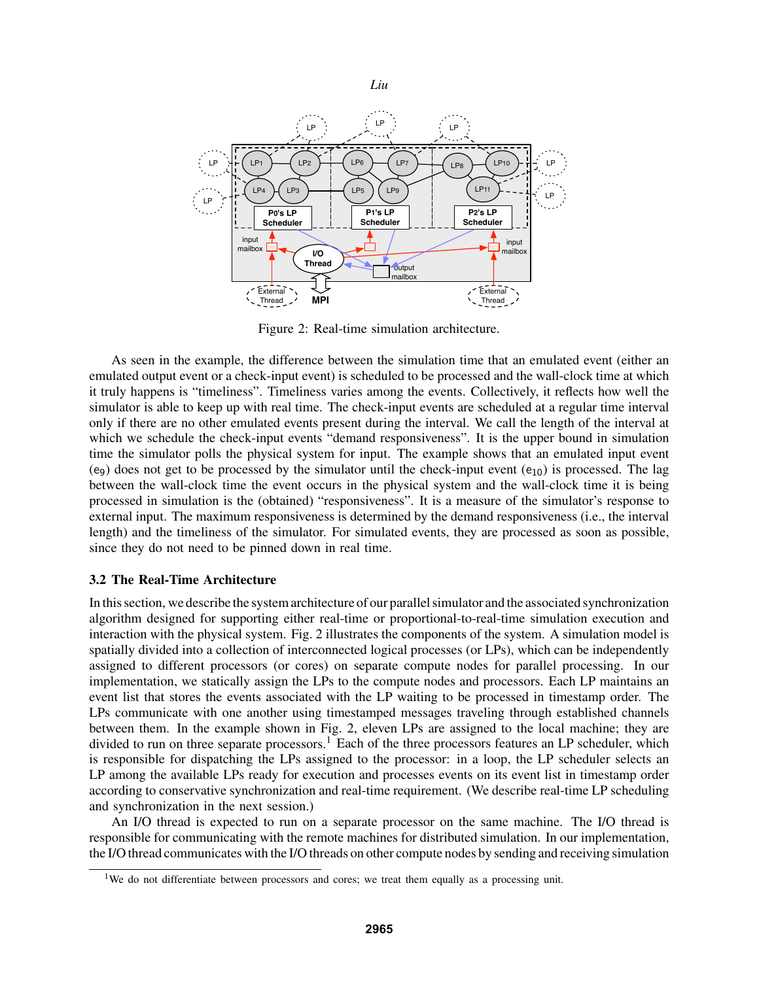

Figure 2: Real-time simulation architecture.

As seen in the example, the difference between the simulation time that an emulated event (either an emulated output event or a check-input event) is scheduled to be processed and the wall-clock time at which it truly happens is "timeliness". Timeliness varies among the events. Collectively, it reflects how well the simulator is able to keep up with real time. The check-input events are scheduled at a regular time interval only if there are no other emulated events present during the interval. We call the length of the interval at which we schedule the check-input events "demand responsiveness". It is the upper bound in simulation time the simulator polls the physical system for input. The example shows that an emulated input event (e9) does not get to be processed by the simulator until the check-input event  $(e_{10})$  is processed. The lag between the wall-clock time the event occurs in the physical system and the wall-clock time it is being processed in simulation is the (obtained) "responsiveness". It is a measure of the simulator's response to external input. The maximum responsiveness is determined by the demand responsiveness (i.e., the interval length) and the timeliness of the simulator. For simulated events, they are processed as soon as possible, since they do not need to be pinned down in real time.

## 3.2 The Real-Time Architecture

In this section, we describe the system architecture of our parallel simulator and the associated synchronization algorithm designed for supporting either real-time or proportional-to-real-time simulation execution and interaction with the physical system. Fig. 2 illustrates the components of the system. A simulation model is spatially divided into a collection of interconnected logical processes (or LPs), which can be independently assigned to different processors (or cores) on separate compute nodes for parallel processing. In our implementation, we statically assign the LPs to the compute nodes and processors. Each LP maintains an event list that stores the events associated with the LP waiting to be processed in timestamp order. The LPs communicate with one another using timestamped messages traveling through established channels between them. In the example shown in Fig. 2, eleven LPs are assigned to the local machine; they are divided to run on three separate processors.<sup>1</sup> Each of the three processors features an LP scheduler, which is responsible for dispatching the LPs assigned to the processor: in a loop, the LP scheduler selects an LP among the available LPs ready for execution and processes events on its event list in timestamp order according to conservative synchronization and real-time requirement. (We describe real-time LP scheduling and synchronization in the next session.)

An I/O thread is expected to run on a separate processor on the same machine. The I/O thread is responsible for communicating with the remote machines for distributed simulation. In our implementation, the I/O thread communicates with the I/O threads on other compute nodes by sending and receiving simulation

<sup>&</sup>lt;sup>1</sup>We do not differentiate between processors and cores; we treat them equally as a processing unit.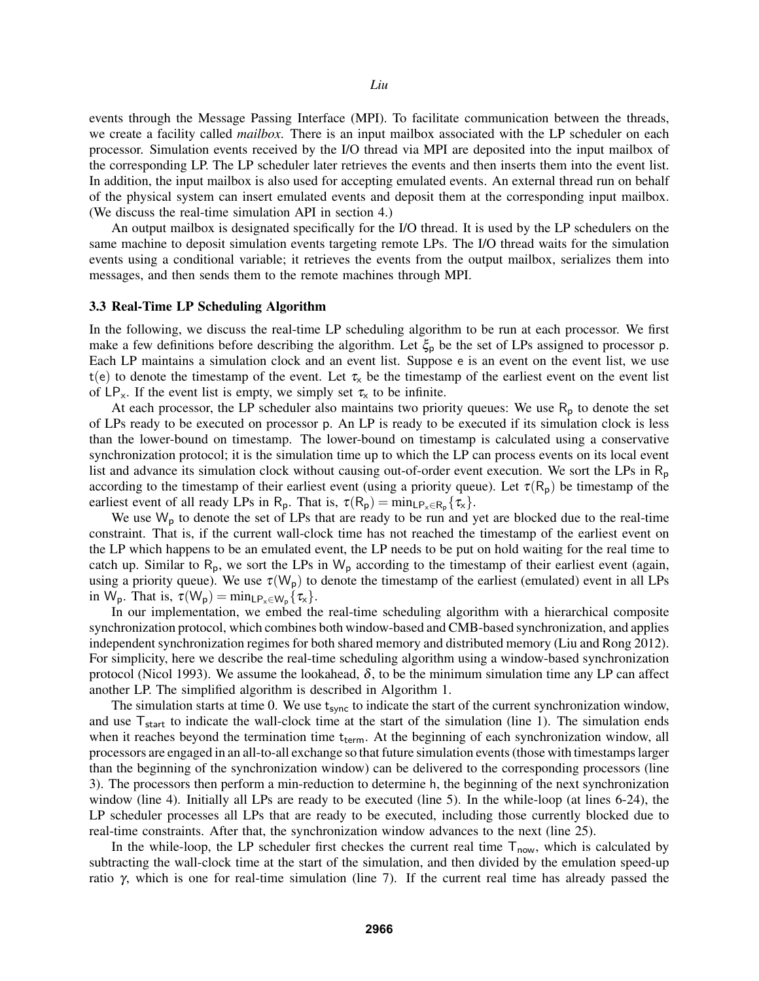events through the Message Passing Interface (MPI). To facilitate communication between the threads, we create a facility called *mailbox*. There is an input mailbox associated with the LP scheduler on each processor. Simulation events received by the I/O thread via MPI are deposited into the input mailbox of the corresponding LP. The LP scheduler later retrieves the events and then inserts them into the event list. In addition, the input mailbox is also used for accepting emulated events. An external thread run on behalf of the physical system can insert emulated events and deposit them at the corresponding input mailbox. (We discuss the real-time simulation API in section 4.)

An output mailbox is designated specifically for the I/O thread. It is used by the LP schedulers on the same machine to deposit simulation events targeting remote LPs. The I/O thread waits for the simulation events using a conditional variable; it retrieves the events from the output mailbox, serializes them into messages, and then sends them to the remote machines through MPI.

#### 3.3 Real-Time LP Scheduling Algorithm

In the following, we discuss the real-time LP scheduling algorithm to be run at each processor. We first make a few definitions before describing the algorithm. Let  $\xi_p$  be the set of LPs assigned to processor p. Each LP maintains a simulation clock and an event list. Suppose e is an event on the event list, we use t(e) to denote the timestamp of the event. Let  $\tau_{\rm x}$  be the timestamp of the earliest event on the event list of  $LP_x$ . If the event list is empty, we simply set  $\tau_x$  to be infinite.

At each processor, the LP scheduler also maintains two priority queues: We use  $R_p$  to denote the set of LPs ready to be executed on processor p. An LP is ready to be executed if its simulation clock is less than the lower-bound on timestamp. The lower-bound on timestamp is calculated using a conservative synchronization protocol; it is the simulation time up to which the LP can process events on its local event list and advance its simulation clock without causing out-of-order event execution. We sort the LPs in  $R<sub>p</sub>$ according to the timestamp of their earliest event (using a priority queue). Let  $\tau(R_p)$  be timestamp of the earliest event of all ready LPs in R<sub>p</sub>. That is,  $\tau(R_p) = \min_{L_{\text{P}_x \in R_p}} {\tau_x}.$ 

We use  $W_p$  to denote the set of LPs that are ready to be run and yet are blocked due to the real-time constraint. That is, if the current wall-clock time has not reached the timestamp of the earliest event on the LP which happens to be an emulated event, the LP needs to be put on hold waiting for the real time to catch up. Similar to  $R_p$ , we sort the LPs in  $W_p$  according to the timestamp of their earliest event (again, using a priority queue). We use  $\tau(W_p)$  to denote the timestamp of the earliest (emulated) event in all LPs in W<sub>p</sub>. That is,  $\tau(W_p) = \min_{x \in W_p} {\tau_x}.$ 

In our implementation, we embed the real-time scheduling algorithm with a hierarchical composite synchronization protocol, which combines both window-based and CMB-based synchronization, and applies independent synchronization regimes for both shared memory and distributed memory (Liu and Rong 2012). For simplicity, here we describe the real-time scheduling algorithm using a window-based synchronization protocol (Nicol 1993). We assume the lookahead, δ, to be the minimum simulation time any LP can affect another LP. The simplified algorithm is described in Algorithm 1.

The simulation starts at time 0. We use  $t_{sync}$  to indicate the start of the current synchronization window, and use  $T_{start}$  to indicate the wall-clock time at the start of the simulation (line 1). The simulation ends when it reaches beyond the termination time  $t_{term}$ . At the beginning of each synchronization window, all processors are engaged in an all-to-all exchange so that future simulation events (those with timestamps larger than the beginning of the synchronization window) can be delivered to the corresponding processors (line 3). The processors then perform a min-reduction to determine h, the beginning of the next synchronization window (line 4). Initially all LPs are ready to be executed (line 5). In the while-loop (at lines 6-24), the LP scheduler processes all LPs that are ready to be executed, including those currently blocked due to real-time constraints. After that, the synchronization window advances to the next (line 25).

In the while-loop, the LP scheduler first checkes the current real time  $T_{now}$ , which is calculated by subtracting the wall-clock time at the start of the simulation, and then divided by the emulation speed-up ratio γ, which is one for real-time simulation (line 7). If the current real time has already passed the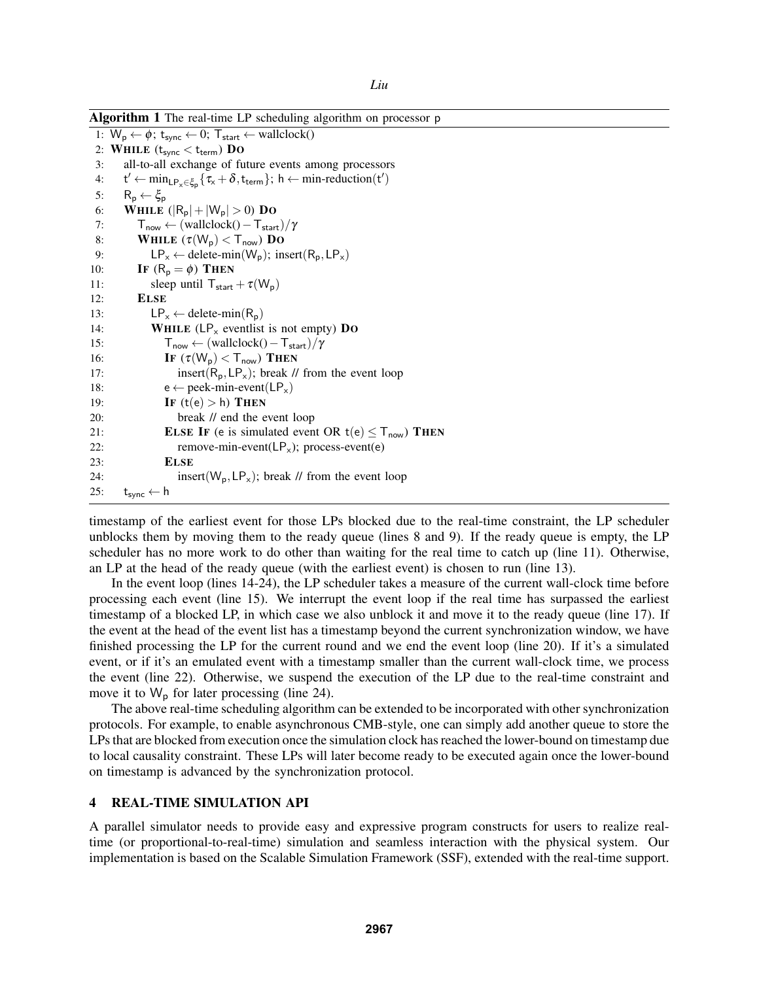| Algorithm 1 The real-time LP scheduling algorithm on processor p |  |  |
|------------------------------------------------------------------|--|--|
|------------------------------------------------------------------|--|--|

|     | 1: $W_p \leftarrow \phi$ ; t <sub>sync</sub> $\leftarrow$ 0; T <sub>start</sub> $\leftarrow$ wallclock() |
|-----|----------------------------------------------------------------------------------------------------------|
| 2:  | <b>WHILE</b> $(t_{sync} < t_{term})$ DO                                                                  |
| 3:  | all-to-all exchange of future events among processors                                                    |
| 4:  | $t' \leftarrow min_{LP_x \in \xi_0} \{ \tau_x + \delta, t_{term} \}; h \leftarrow min-reduction(t')$     |
| 5:  | $R_p \leftarrow \xi_p$                                                                                   |
| 6:  | WHILE $( R_p + W_p >0)$ DO                                                                               |
| 7:  | $T_{now} \leftarrow (wallclock() - T_{start})/\gamma$                                                    |
| 8:  | WHILE $(\tau(W_p) < T_{now})$ Do                                                                         |
| 9:  | $LP_x \leftarrow$ delete-min( $W_p$ ); insert( $R_p$ , LP <sub>x</sub> )                                 |
| 10: | IF $(R_p = \phi)$ THEN                                                                                   |
| 11: | sleep until $T_{start} + \tau(W_D)$                                                                      |
| 12: | <b>ELSE</b>                                                                                              |
| 13: | $LP_x \leftarrow$ delete-min(R <sub>p</sub> )                                                            |
| 14: | <b>WHILE</b> (LP <sub>x</sub> eventlist is not empty) <b>DO</b>                                          |
| 15: | $T_{now} \leftarrow (wallclock() - T_{start})/\gamma$                                                    |
| 16: | IF $(\tau(W_p) < T_{now})$ THEN                                                                          |
| 17: | insert( $R_p$ , LP <sub>x</sub> ); break // from the event loop                                          |
| 18: | $e \leftarrow peek-min-event(LP_x)$                                                                      |
| 19: | IF $(t(e) > h)$ THEN                                                                                     |
| 20: | break // end the event loop                                                                              |
| 21: | <b>ELSE IF</b> (e is simulated event OR $t(e) \leq T_{now}$ ) <b>THEN</b>                                |
| 22: | remove-min-event( $LP_x$ ); process-event(e)                                                             |
| 23: | <b>ELSE</b>                                                                                              |
| 24: | insert( $W_p$ , LP <sub>x</sub> ); break // from the event loop                                          |
| 25: | $t_{sync} \leftarrow h$                                                                                  |

timestamp of the earliest event for those LPs blocked due to the real-time constraint, the LP scheduler unblocks them by moving them to the ready queue (lines 8 and 9). If the ready queue is empty, the LP scheduler has no more work to do other than waiting for the real time to catch up (line 11). Otherwise, an LP at the head of the ready queue (with the earliest event) is chosen to run (line 13).

In the event loop (lines 14-24), the LP scheduler takes a measure of the current wall-clock time before processing each event (line 15). We interrupt the event loop if the real time has surpassed the earliest timestamp of a blocked LP, in which case we also unblock it and move it to the ready queue (line 17). If the event at the head of the event list has a timestamp beyond the current synchronization window, we have finished processing the LP for the current round and we end the event loop (line 20). If it's a simulated event, or if it's an emulated event with a timestamp smaller than the current wall-clock time, we process the event (line 22). Otherwise, we suspend the execution of the LP due to the real-time constraint and move it to  $W_p$  for later processing (line 24).

The above real-time scheduling algorithm can be extended to be incorporated with other synchronization protocols. For example, to enable asynchronous CMB-style, one can simply add another queue to store the LPs that are blocked from execution once the simulation clock has reached the lower-bound on timestamp due to local causality constraint. These LPs will later become ready to be executed again once the lower-bound on timestamp is advanced by the synchronization protocol.

### 4 REAL-TIME SIMULATION API

A parallel simulator needs to provide easy and expressive program constructs for users to realize realtime (or proportional-to-real-time) simulation and seamless interaction with the physical system. Our implementation is based on the Scalable Simulation Framework (SSF), extended with the real-time support.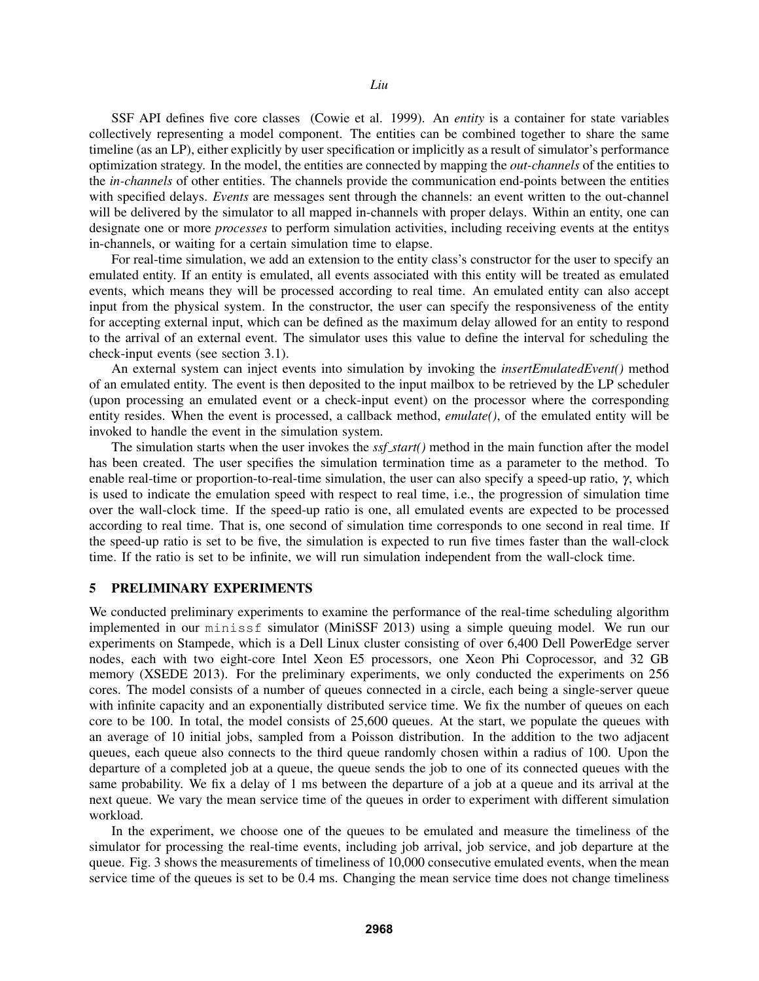SSF API defines five core classes (Cowie et al. 1999). An *entity* is a container for state variables collectively representing a model component. The entities can be combined together to share the same timeline (as an LP), either explicitly by user specification or implicitly as a result of simulator's performance optimization strategy. In the model, the entities are connected by mapping the *out-channels* of the entities to the *in-channels* of other entities. The channels provide the communication end-points between the entities with specified delays. *Events* are messages sent through the channels: an event written to the out-channel will be delivered by the simulator to all mapped in-channels with proper delays. Within an entity, one can designate one or more *processes* to perform simulation activities, including receiving events at the entitys in-channels, or waiting for a certain simulation time to elapse.

For real-time simulation, we add an extension to the entity class's constructor for the user to specify an emulated entity. If an entity is emulated, all events associated with this entity will be treated as emulated events, which means they will be processed according to real time. An emulated entity can also accept input from the physical system. In the constructor, the user can specify the responsiveness of the entity for accepting external input, which can be defined as the maximum delay allowed for an entity to respond to the arrival of an external event. The simulator uses this value to define the interval for scheduling the check-input events (see section 3.1).

An external system can inject events into simulation by invoking the *insertEmulatedEvent()* method of an emulated entity. The event is then deposited to the input mailbox to be retrieved by the LP scheduler (upon processing an emulated event or a check-input event) on the processor where the corresponding entity resides. When the event is processed, a callback method, *emulate()*, of the emulated entity will be invoked to handle the event in the simulation system.

The simulation starts when the user invokes the *ssf start()* method in the main function after the model has been created. The user specifies the simulation termination time as a parameter to the method. To enable real-time or proportion-to-real-time simulation, the user can also specify a speed-up ratio,  $\gamma$ , which is used to indicate the emulation speed with respect to real time, i.e., the progression of simulation time over the wall-clock time. If the speed-up ratio is one, all emulated events are expected to be processed according to real time. That is, one second of simulation time corresponds to one second in real time. If the speed-up ratio is set to be five, the simulation is expected to run five times faster than the wall-clock time. If the ratio is set to be infinite, we will run simulation independent from the wall-clock time.

### 5 PRELIMINARY EXPERIMENTS

We conducted preliminary experiments to examine the performance of the real-time scheduling algorithm implemented in our minissf simulator (MiniSSF 2013) using a simple queuing model. We run our experiments on Stampede, which is a Dell Linux cluster consisting of over 6,400 Dell PowerEdge server nodes, each with two eight-core Intel Xeon E5 processors, one Xeon Phi Coprocessor, and 32 GB memory (XSEDE 2013). For the preliminary experiments, we only conducted the experiments on 256 cores. The model consists of a number of queues connected in a circle, each being a single-server queue with infinite capacity and an exponentially distributed service time. We fix the number of queues on each core to be 100. In total, the model consists of 25,600 queues. At the start, we populate the queues with an average of 10 initial jobs, sampled from a Poisson distribution. In the addition to the two adjacent queues, each queue also connects to the third queue randomly chosen within a radius of 100. Upon the departure of a completed job at a queue, the queue sends the job to one of its connected queues with the same probability. We fix a delay of 1 ms between the departure of a job at a queue and its arrival at the next queue. We vary the mean service time of the queues in order to experiment with different simulation workload.

In the experiment, we choose one of the queues to be emulated and measure the timeliness of the simulator for processing the real-time events, including job arrival, job service, and job departure at the queue. Fig. 3 shows the measurements of timeliness of 10,000 consecutive emulated events, when the mean service time of the queues is set to be 0.4 ms. Changing the mean service time does not change timeliness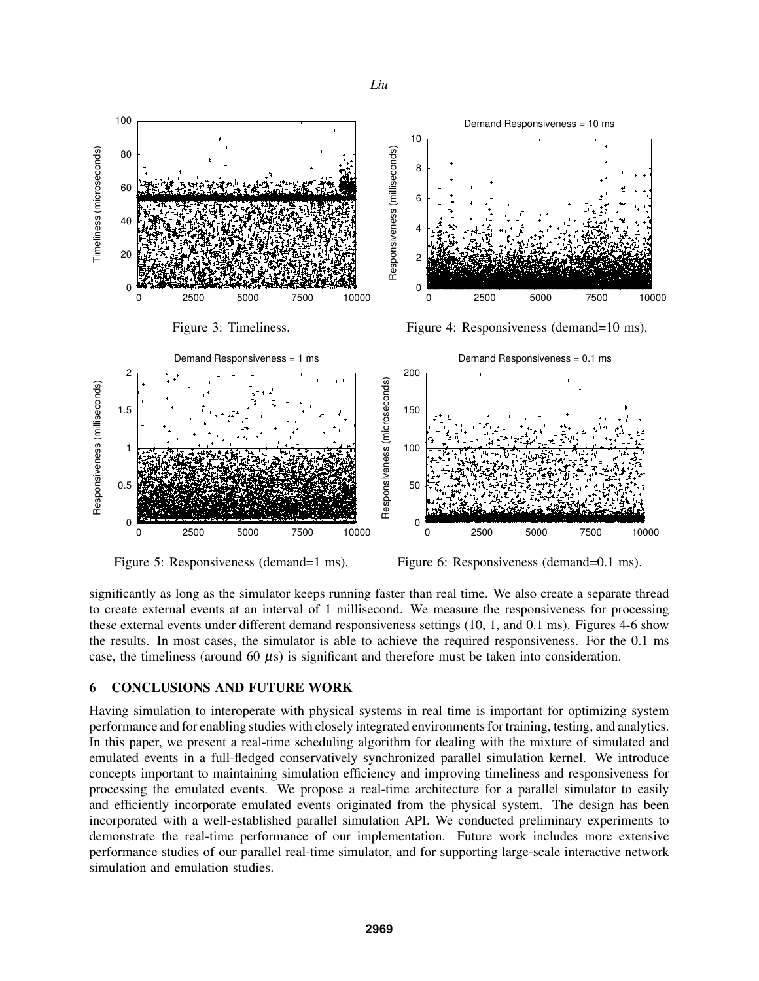



Figure 6: Responsiveness (demand=0.1 ms).

significantly as long as the simulator keeps running faster than real time. We also create a separate thread to create external events at an interval of 1 millisecond. We measure the responsiveness for processing these external events under different demand responsiveness settings (10, 1, and 0.1 ms). Figures 4-6 show the results. In most cases, the simulator is able to achieve the required responsiveness. For the 0.1 ms case, the timeliness (around 60  $\mu$ s) is significant and therefore must be taken into consideration.

# 6 CONCLUSIONS AND FUTURE WORK

Having simulation to interoperate with physical systems in real time is important for optimizing system performance and for enabling studies with closely integrated environments for training, testing, and analytics. In this paper, we present a real-time scheduling algorithm for dealing with the mixture of simulated and emulated events in a full-fledged conservatively synchronized parallel simulation kernel. We introduce concepts important to maintaining simulation efficiency and improving timeliness and responsiveness for processing the emulated events. We propose a real-time architecture for a parallel simulator to easily and efficiently incorporate emulated events originated from the physical system. The design has been incorporated with a well-established parallel simulation API. We conducted preliminary experiments to demonstrate the real-time performance of our implementation. Future work includes more extensive performance studies of our parallel real-time simulator, and for supporting large-scale interactive network simulation and emulation studies.

*Liu*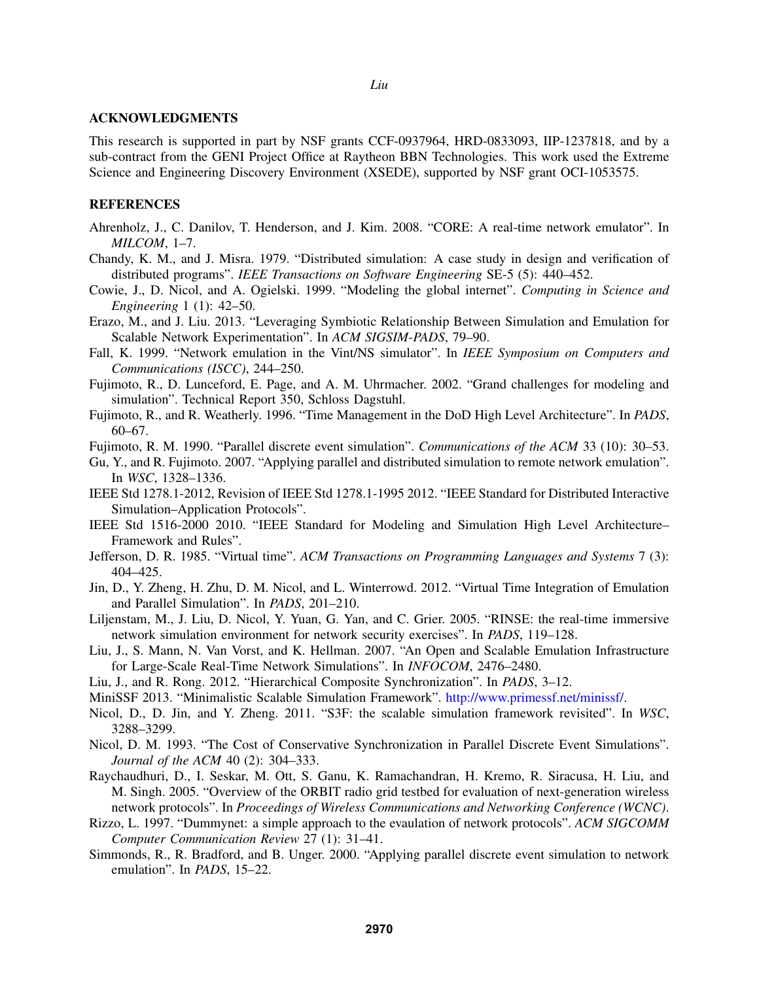### ACKNOWLEDGMENTS

This research is supported in part by NSF grants CCF-0937964, HRD-0833093, IIP-1237818, and by a sub-contract from the GENI Project Office at Raytheon BBN Technologies. This work used the Extreme Science and Engineering Discovery Environment (XSEDE), supported by NSF grant OCI-1053575.

# **REFERENCES**

- Ahrenholz, J., C. Danilov, T. Henderson, and J. Kim. 2008. "CORE: A real-time network emulator". In *MILCOM*, 1–7.
- Chandy, K. M., and J. Misra. 1979. "Distributed simulation: A case study in design and verification of distributed programs". *IEEE Transactions on Software Engineering* SE-5 (5): 440–452.
- Cowie, J., D. Nicol, and A. Ogielski. 1999. "Modeling the global internet". *Computing in Science and Engineering* 1 (1): 42–50.
- Erazo, M., and J. Liu. 2013. "Leveraging Symbiotic Relationship Between Simulation and Emulation for Scalable Network Experimentation". In *ACM SIGSIM-PADS*, 79–90.
- Fall, K. 1999. "Network emulation in the Vint/NS simulator". In *IEEE Symposium on Computers and Communications (ISCC)*, 244–250.
- Fujimoto, R., D. Lunceford, E. Page, and A. M. Uhrmacher. 2002. "Grand challenges for modeling and simulation". Technical Report 350, Schloss Dagstuhl.
- Fujimoto, R., and R. Weatherly. 1996. "Time Management in the DoD High Level Architecture". In *PADS*, 60–67.
- Fujimoto, R. M. 1990. "Parallel discrete event simulation". *Communications of the ACM* 33 (10): 30–53.
- Gu, Y., and R. Fujimoto. 2007. "Applying parallel and distributed simulation to remote network emulation". In *WSC*, 1328–1336.
- IEEE Std 1278.1-2012, Revision of IEEE Std 1278.1-1995 2012. "IEEE Standard for Distributed Interactive Simulation–Application Protocols".
- IEEE Std 1516-2000 2010. "IEEE Standard for Modeling and Simulation High Level Architecture– Framework and Rules".
- Jefferson, D. R. 1985. "Virtual time". *ACM Transactions on Programming Languages and Systems* 7 (3): 404–425.
- Jin, D., Y. Zheng, H. Zhu, D. M. Nicol, and L. Winterrowd. 2012. "Virtual Time Integration of Emulation and Parallel Simulation". In *PADS*, 201–210.
- Liljenstam, M., J. Liu, D. Nicol, Y. Yuan, G. Yan, and C. Grier. 2005. "RINSE: the real-time immersive network simulation environment for network security exercises". In *PADS*, 119–128.
- Liu, J., S. Mann, N. Van Vorst, and K. Hellman. 2007. "An Open and Scalable Emulation Infrastructure for Large-Scale Real-Time Network Simulations". In *INFOCOM*, 2476–2480.
- Liu, J., and R. Rong. 2012. "Hierarchical Composite Synchronization". In *PADS*, 3–12.
- MiniSSF 2013. "Minimalistic Scalable Simulation Framework". http://www.primessf.net/minissf/.
- Nicol, D., D. Jin, and Y. Zheng. 2011. "S3F: the scalable simulation framework revisited". In *WSC*, 3288–3299.
- Nicol, D. M. 1993. "The Cost of Conservative Synchronization in Parallel Discrete Event Simulations". *Journal of the ACM* 40 (2): 304–333.
- Raychaudhuri, D., I. Seskar, M. Ott, S. Ganu, K. Ramachandran, H. Kremo, R. Siracusa, H. Liu, and M. Singh. 2005. "Overview of the ORBIT radio grid testbed for evaluation of next-generation wireless network protocols". In *Proceedings of Wireless Communications and Networking Conference (WCNC)*.
- Rizzo, L. 1997. "Dummynet: a simple approach to the evaulation of network protocols". *ACM SIGCOMM Computer Communication Review* 27 (1): 31–41.
- Simmonds, R., R. Bradford, and B. Unger. 2000. "Applying parallel discrete event simulation to network emulation". In *PADS*, 15–22.